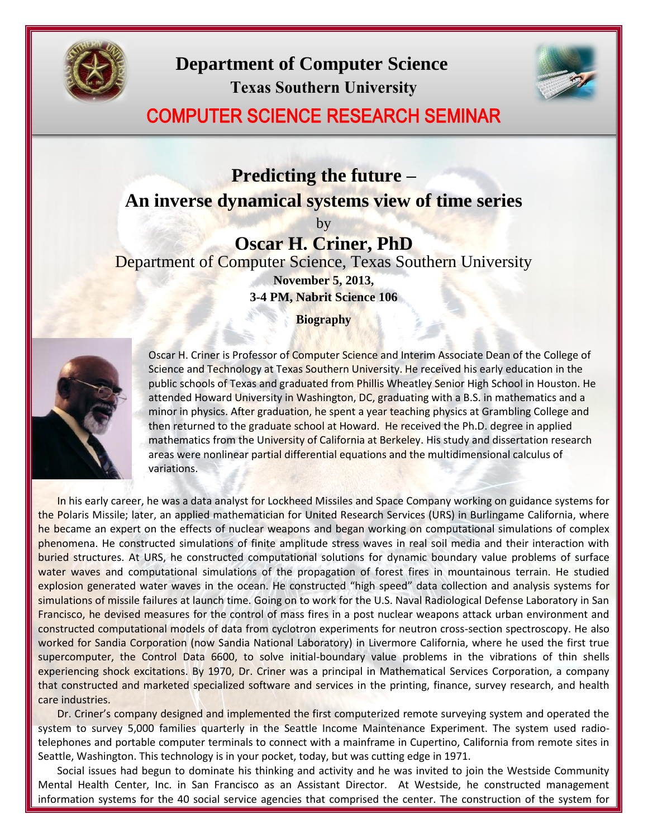

**Department of Computer Science Texas Southern University**



## COMPUTER SCIENCE RESEARCH SEMINAR

## **Predicting the future – An inverse dynamical systems view of time series**

by

## **Oscar H. Criner, PhD**

Department of Computer Science, Texas Southern University **November 5, 2013,**

**3-4 PM, Nabrit Science 106**

**Biography**



Oscar H. Criner is Professor of Computer Science and Interim Associate Dean of the College of Science and Technology at Texas Southern University. He received his early education in the public schools of Texas and graduated from Phillis Wheatley Senior High School in Houston. He attended Howard University in Washington, DC, graduating with a B.S. in mathematics and a minor in physics. After graduation, he spent a year teaching physics at Grambling College and then returned to the graduate school at Howard. He received the Ph.D. degree in applied mathematics from the University of California at Berkeley. His study and dissertation research areas were nonlinear partial differential equations and the multidimensional calculus of variations.

In his early career, he was a data analyst for Lockheed Missiles and Space Company working on guidance systems for the Polaris Missile; later, an applied mathematician for United Research Services (URS) in Burlingame California, where he became an expert on the effects of nuclear weapons and began working on computational simulations of complex phenomena. He constructed simulations of finite amplitude stress waves in real soil media and their interaction with buried structures. At URS, he constructed computational solutions for dynamic boundary value problems of surface water waves and computational simulations of the propagation of forest fires in mountainous terrain. He studied explosion generated water waves in the ocean. He constructed "high speed" data collection and analysis systems for simulations of missile failures at launch time. Going on to work for the U.S. Naval Radiological Defense Laboratory in San Francisco, he devised measures for the control of mass fires in a post nuclear weapons attack urban environment and constructed computational models of data from cyclotron experiments for neutron cross-section spectroscopy. He also worked for Sandia Corporation (now Sandia National Laboratory) in Livermore California, where he used the first true supercomputer, the Control Data 6600, to solve initial-boundary value problems in the vibrations of thin shells experiencing shock excitations. By 1970, Dr. Criner was a principal in Mathematical Services Corporation, a company that constructed and marketed specialized software and services in the printing, finance, survey research, and health care industries.

Dr. Criner's company designed and implemented the first computerized remote surveying system and operated the system to survey 5,000 families quarterly in the Seattle Income Maintenance Experiment. The system used radiotelephones and portable computer terminals to connect with a mainframe in Cupertino, California from remote sites in Seattle, Washington. This technology is in your pocket, today, but was cutting edge in 1971.

Social issues had begun to dominate his thinking and activity and he was invited to join the Westside Community Mental Health Center, Inc. in San Francisco as an Assistant Director. At Westside, he constructed management information systems for the 40 social service agencies that comprised the center. The construction of the system for